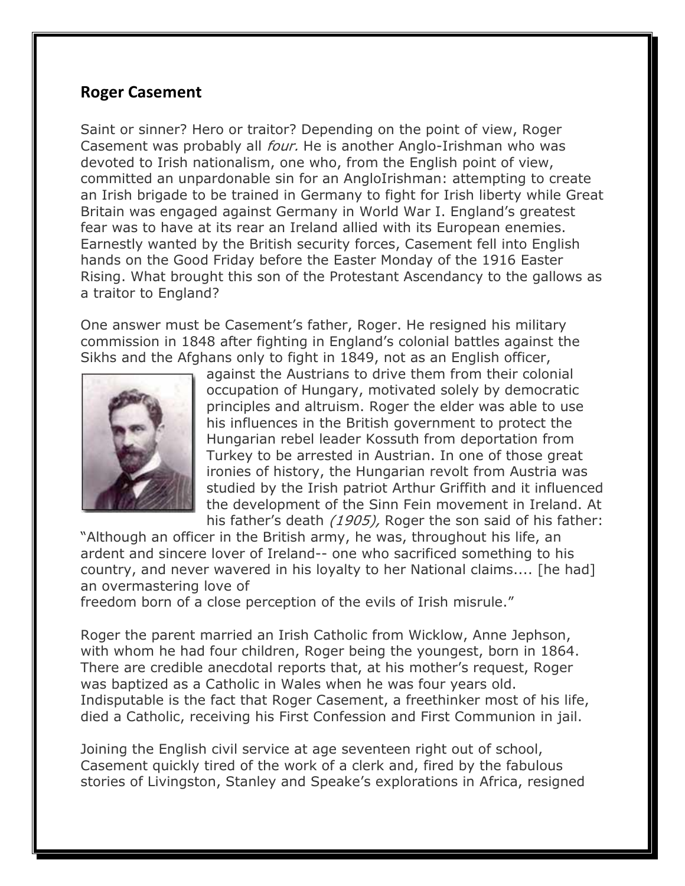## **Roger Casement**

Saint or sinner? Hero or traitor? Depending on the point of view, Roger Casement was probably all *four.* He is another Anglo-Irishman who was devoted to Irish nationalism, one who, from the English point of view, committed an unpardonable sin for an AngloIrishman: attempting to create an Irish brigade to be trained in Germany to fight for Irish liberty while Great Britain was engaged against Germany in World War I. England's greatest fear was to have at its rear an Ireland allied with its European enemies. Earnestly wanted by the British security forces, Casement fell into English hands on the Good Friday before the Easter Monday of the 1916 Easter Rising. What brought this son of the Protestant Ascendancy to the gallows as a traitor to England?

One answer must be Casement's father, Roger. He resigned his military commission in 1848 after fighting in England's colonial battles against the Sikhs and the Afghans only to fight in 1849, not as an English officer,



against the Austrians to drive them from their colonial occupation of Hungary, motivated solely by democratic principles and altruism. Roger the elder was able to use his influences in the British government to protect the Hungarian rebel leader Kossuth from deportation from Turkey to be arrested in Austrian. In one of those great ironies of history, the Hungarian revolt from Austria was studied by the Irish patriot Arthur Griffith and it influenced the development of the Sinn Fein movement in Ireland. At his father's death (1905), Roger the son said of his father:

"Although an officer in the British army, he was, throughout his life, an ardent and sincere lover of Ireland-- one who sacrificed something to his country, and never wavered in his loyalty to her National claims.... [he had] an overmastering love of

freedom born of a close perception of the evils of Irish misrule."

Roger the parent married an Irish Catholic from Wicklow, Anne Jephson, with whom he had four children, Roger being the youngest, born in 1864. There are credible anecdotal reports that, at his mother's request, Roger was baptized as a Catholic in Wales when he was four years old. Indisputable is the fact that Roger Casement, a freethinker most of his life, died a Catholic, receiving his First Confession and First Communion in jail.

Joining the English civil service at age seventeen right out of school, Casement quickly tired of the work of a clerk and, fired by the fabulous stories of Livingston, Stanley and Speake's explorations in Africa, resigned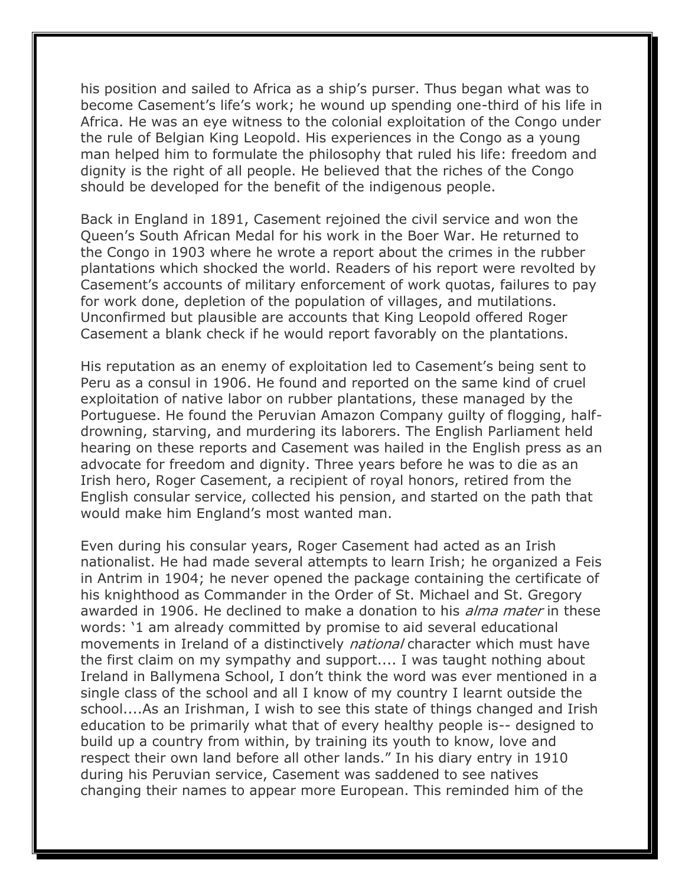his position and sailed to Africa as a ship's purser. Thus began what was to become Casement's life's work; he wound up spending one-third of his life in Africa. He was an eye witness to the colonial exploitation of the Congo under the rule of Belgian King Leopold. His experiences in the Congo as a young man helped him to formulate the philosophy that ruled his life: freedom and dignity is the right of all people. He believed that the riches of the Congo should be developed for the benefit of the indigenous people.

Back in England in 1891, Casement rejoined the civil service and won the Queen's South African Medal for his work in the Boer War. He returned to the Congo in 1903 where he wrote a report about the crimes in the rubber plantations which shocked the world. Readers of his report were revolted by Casement's accounts of military enforcement of work quotas, failures to pay for work done, depletion of the population of villages, and mutilations. Unconfirmed but plausible are accounts that King Leopold offered Roger Casement a blank check if he would report favorably on the plantations.

His reputation as an enemy of exploitation led to Casement's being sent to Peru as a consul in 1906. He found and reported on the same kind of cruel exploitation of native labor on rubber plantations, these managed by the Portuguese. He found the Peruvian Amazon Company guilty of flogging, halfdrowning, starving, and murdering its laborers. The English Parliament held hearing on these reports and Casement was hailed in the English press as an advocate for freedom and dignity. Three years before he was to die as an Irish hero, Roger Casement, a recipient of royal honors, retired from the English consular service, collected his pension, and started on the path that would make him England's most wanted man.

Even during his consular years, Roger Casement had acted as an Irish nationalist. He had made several attempts to learn Irish; he organized a Feis in Antrim in 1904; he never opened the package containing the certificate of his knighthood as Commander in the Order of St. Michael and St. Gregory awarded in 1906. He declined to make a donation to his *alma mater* in these words: '1 am already committed by promise to aid several educational movements in Ireland of a distinctively *national* character which must have the first claim on my sympathy and support.... I was taught nothing about Ireland in Ballymena School, I don't think the word was ever mentioned in a single class of the school and all I know of my country I learnt outside the school....As an Irishman, I wish to see this state of things changed and Irish education to be primarily what that of every healthy people is-- designed to build up a country from within, by training its youth to know, love and respect their own land before all other lands." In his diary entry in 1910 during his Peruvian service, Casement was saddened to see natives changing their names to appear more European. This reminded him of the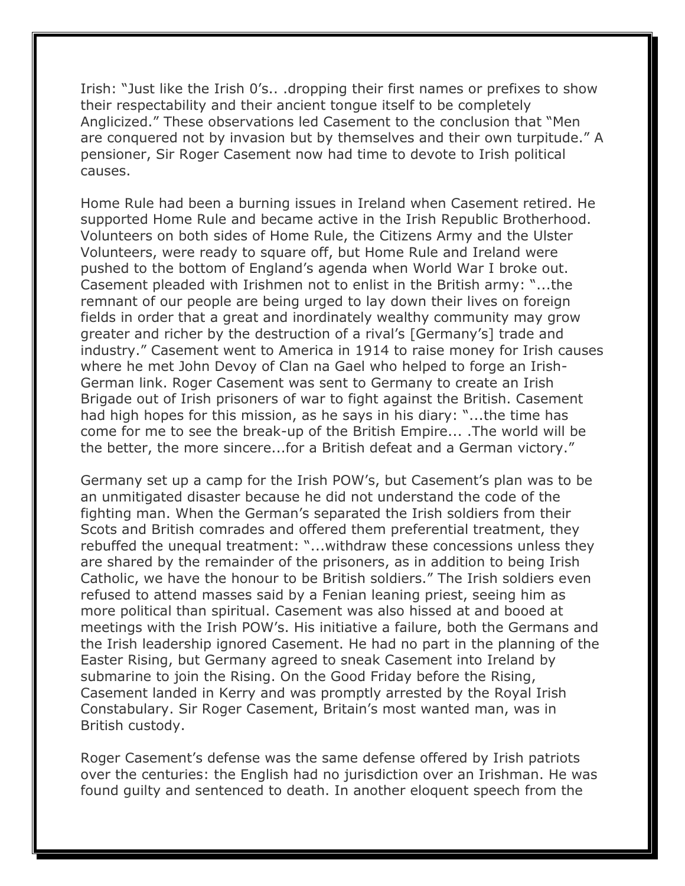Irish: "Just like the Irish 0's.. .dropping their first names or prefixes to show their respectability and their ancient tongue itself to be completely Anglicized." These observations led Casement to the conclusion that "Men are conquered not by invasion but by themselves and their own turpitude." A pensioner, Sir Roger Casement now had time to devote to Irish political causes.

Home Rule had been a burning issues in Ireland when Casement retired. He supported Home Rule and became active in the Irish Republic Brotherhood. Volunteers on both sides of Home Rule, the Citizens Army and the Ulster Volunteers, were ready to square off, but Home Rule and Ireland were pushed to the bottom of England's agenda when World War I broke out. Casement pleaded with Irishmen not to enlist in the British army: "...the remnant of our people are being urged to lay down their lives on foreign fields in order that a great and inordinately wealthy community may grow greater and richer by the destruction of a rival's [Germany's] trade and industry." Casement went to America in 1914 to raise money for Irish causes where he met John Devoy of Clan na Gael who helped to forge an Irish-German link. Roger Casement was sent to Germany to create an Irish Brigade out of Irish prisoners of war to fight against the British. Casement had high hopes for this mission, as he says in his diary: "...the time has come for me to see the break-up of the British Empire... .The world will be the better, the more sincere...for a British defeat and a German victory."

Germany set up a camp for the Irish POW's, but Casement's plan was to be an unmitigated disaster because he did not understand the code of the fighting man. When the German's separated the Irish soldiers from their Scots and British comrades and offered them preferential treatment, they rebuffed the unequal treatment: "...withdraw these concessions unless they are shared by the remainder of the prisoners, as in addition to being Irish Catholic, we have the honour to be British soldiers." The Irish soldiers even refused to attend masses said by a Fenian leaning priest, seeing him as more political than spiritual. Casement was also hissed at and booed at meetings with the Irish POW's. His initiative a failure, both the Germans and the Irish leadership ignored Casement. He had no part in the planning of the Easter Rising, but Germany agreed to sneak Casement into Ireland by submarine to join the Rising. On the Good Friday before the Rising, Casement landed in Kerry and was promptly arrested by the Royal Irish Constabulary. Sir Roger Casement, Britain's most wanted man, was in British custody.

Roger Casement's defense was the same defense offered by Irish patriots over the centuries: the English had no jurisdiction over an Irishman. He was found guilty and sentenced to death. In another eloquent speech from the